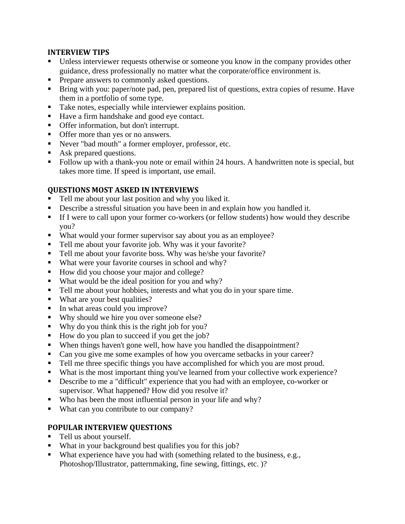#### **INTERVIEW TIPS**

- Unless interviewer requests otherwise or someone you know in the company provides other guidance, dress professionally no matter what the corporate/office environment is.
- Prepare answers to commonly asked questions.
- Bring with you: paper/note pad, pen, prepared list of questions, extra copies of resume. Have them in a portfolio of some type.
- Take notes, especially while interviewer explains position.
- Have a firm handshake and good eye contact.
- Offer information, but don't interrupt.
- **Offer more than yes or no answers.**
- Never "bad mouth" a former employer, professor, etc.
- Ask prepared questions.
- Follow up with a thank-you note or email within 24 hours. A handwritten note is special, but takes more time. If speed is important, use email.

### **QUESTIONS MOST ASKED IN INTERVIEWS**

- Tell me about your last position and why you liked it.
- Describe a stressful situation you have been in and explain how you handled it.
- If I were to call upon your former co-workers (or fellow students) how would they describe you?
- What would your former supervisor say about you as an employee?
- Tell me about your favorite job. Why was it your favorite?
- Tell me about your favorite boss. Why was he/she your favorite?
- What were your favorite courses in school and why?
- How did you choose your major and college?
- What would be the ideal position for you and why?
- Tell me about your hobbies, interests and what you do in your spare time.
- What are your best qualities?
- In what areas could you improve?
- Why should we hire you over someone else?
- Why do you think this is the right job for you?
- How do you plan to succeed if you get the job?
- When things haven't gone well, how have you handled the disappointment?
- Can you give me some examples of how you overcame setbacks in your career?
- Tell me three specific things you have accomplished for which you are most proud.
- What is the most important thing you've learned from your collective work experience?
- Describe to me a "difficult" experience that you had with an employee, co-worker or supervisor. What happened? How did you resolve it?
- Who has been the most influential person in your life and why?
- What can you contribute to our company?

# **POPULAR INTERVIEW QUESTIONS**

- Tell us about yourself.
- What in your background best qualifies you for this job?
- What experience have you had with (something related to the business, e.g., Photoshop/Illustrator, patternmaking, fine sewing, fittings, etc. )?